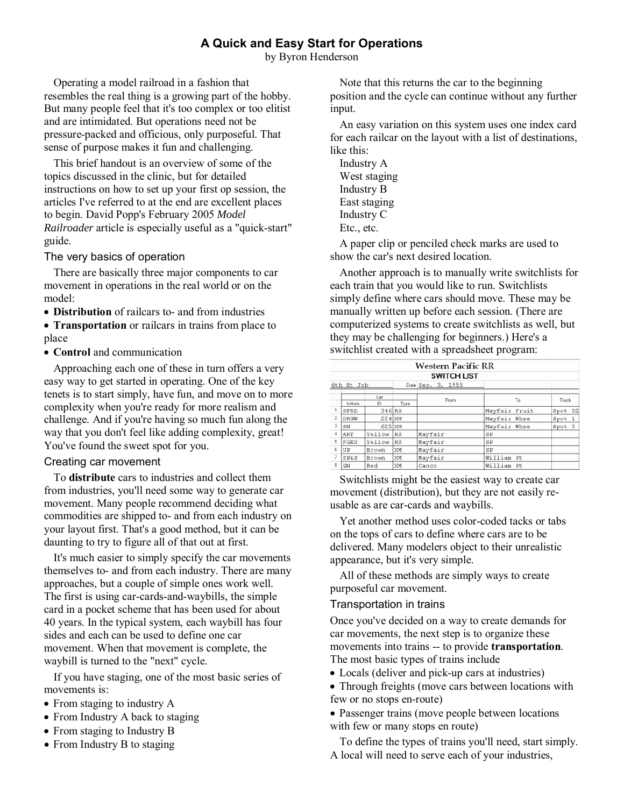# **A Quick and Easy Start for Operations**

by Byron Henderson

Operating a model railroad in a fashion that resembles the real thing is a growing part of the hobby. But many people feel that it's too complex or too elitist and are intimidated. But operations need not be pressure-packed and officious, only purposeful. That sense of purpose makes it fun and challenging.

This brief handout is an overview of some of the topics discussed in the clinic, but for detailed instructions on how to set up your first op session, the articles I've referred to at the end are excellent places to begin. David Popp's February 2005 *Model Railroader* article is especially useful as a "quick-start" guide.

### The very basics of operation

There are basically three major components to car movement in operations in the real world or on the model:

**Distribution** of railcars to- and from industries

 **Transportation** or railcars in trains from place to place

**Control** and communication

Approaching each one of these in turn offers a very easy way to get started in operating. One of the key tenets is to start simply, have fun, and move on to more complexity when you're ready for more realism and challenge. And if you're having so much fun along the way that you don't feel like adding complexity, great! You've found the sweet spot for you.

## Creating car movement

To **distribute** cars to industries and collect them from industries, you'll need some way to generate car movement. Many people recommend deciding what commodities are shipped to- and from each industry on your layout first. That's a good method, but it can be daunting to try to figure all of that out at first.

It's much easier to simply specify the car movements themselves to- and from each industry. There are many approaches, but a couple of simple ones work well. The first is using car-cards-and-waybills, the simple card in a pocket scheme that has been used for about 40 years. In the typical system, each waybill has four sides and each can be used to define one car movement. When that movement is complete, the waybill is turned to the "next" cycle.

If you have staging, one of the most basic series of movements is:

- From staging to industry A
- From Industry A back to staging
- From staging to Industry B
- From Industry B to staging

Note that this returns the car to the beginning position and the cycle can continue without any further input.

An easy variation on this system uses one index card for each railcar on the layout with a list of destinations, like this:

Industry A West staging Industry B East staging Industry C Etc., etc.

A paper clip or penciled check marks are used to show the car's next desired location.

Another approach is to manually write switchlists for each train that you would like to run. Switchlists simply define where cars should move. These may be manually written up before each session. (There are computerized systems to create switchlists as well, but they may be challenging for beginners.) Here's a switchlist created with a spreadsheet program:

| Western Pacific RR |                  |              |      |                   |               |         |
|--------------------|------------------|--------------|------|-------------------|---------------|---------|
| <b>SWITCH LIST</b> |                  |              |      |                   |               |         |
| 6th St Job         |                  |              |      | Date Sep. 3, 1955 |               |         |
|                    |                  | Car          |      | From              | To            | Track   |
|                    | Initials<br>SFRD | ID<br>346 RS | Type |                   | Mayfair Fruit | Spot 32 |
| 2                  | <b>DRGW</b>      | 224 XM       |      |                   | Mayfair Whse  | Spot 1  |
| 3                  | SN               | 625 XM       |      |                   | Mayfair Whse  | Spot 3  |
| $\overline{4}$     | ART              | Yellow       | RS   | Mayfair           | SP            |         |
| 5                  | FGEX             | Yellow       | RS   | Mayfair           | SP            |         |
| 6                  | UP               | Brown        | XM   | Mayfair           | SP            |         |
|                    | <b>SP&amp;S</b>  | Brown        | XM   | Mayfair           | William St    |         |
| 8                  | GN               | Red          | XM   | Canco             | William St    |         |
|                    |                  |              |      |                   |               |         |

Switchlists might be the easiest way to create car movement (distribution), but they are not easily reusable as are car-cards and waybills.

Yet another method uses color-coded tacks or tabs on the tops of cars to define where cars are to be delivered. Many modelers object to their unrealistic appearance, but it's very simple.

All of these methods are simply ways to create purposeful car movement.

## Transportation in trains

Once you've decided on a way to create demands for car movements, the next step is to organize these movements into trains -- to provide **transportation**. The most basic types of trains include

- Locals (deliver and pick-up cars at industries)
- Through freights (move cars between locations with few or no stops en-route)
- Passenger trains (move people between locations with few or many stops en route)

To define the types of trains you'll need, start simply. A local will need to serve each of your industries,